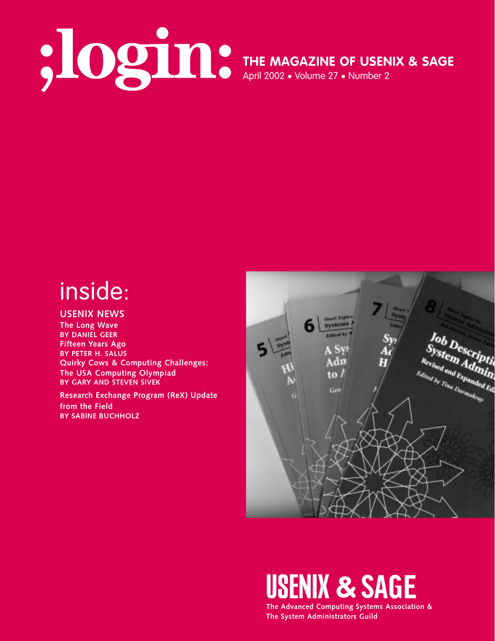# April 2002 • Volume 27 • Number 2

**THE MAGAZINE OF USENIX & SAGE**

# inside:

#### **USENIX NEWS**

**The Long Wave BY DANIEL GEER Fifteen Years Ago BY PETER H. SALUS Quirky Cows & Computing Challenges: The USA Computing Olympiad BY GARY AND STEVEN SIVEK**

**Research Exchange Program (ReX) Update from the Field BY SABINE BUCHHOLZ**



# **USENIX & SAGE**

**The Advanced Computing Systems Association & The System Administrators Guild**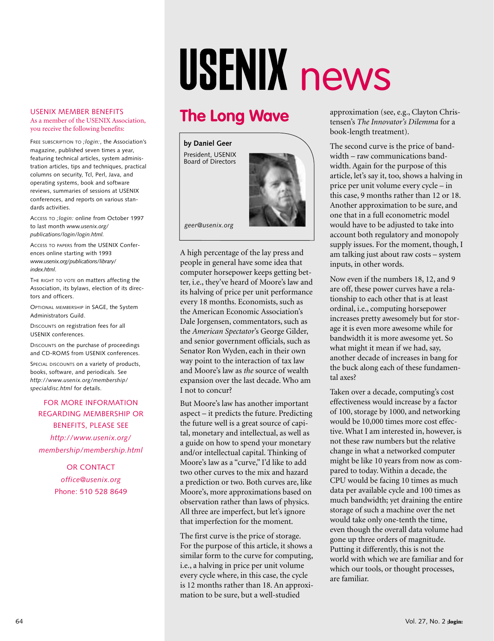# USENIX news

## **The Long Wave**

**by Daniel Geer** President, USENIX Board of Directors

USENIX MEMBER BENEFITS As a member of the USENIX Association, you receive the following benefits:

FREE SUBSCRIPTION TO *;login:*, the Association's magazine, published seven times a year, featuring technical articles, system administration articles, tips and techniques, practical columns on security, Tcl, Perl, Java, and operating systems, book and software reviews, summaries of sessions at USENIX conferences, and reports on various standards activities.

ACCESS TO *;login:* online from October 1997 to last month *www.usenix.org/ publications/login/login.html.*

ACCESS TO PAPERS from the USENIX Conferences online starting with 1993 *www.usenix.org/publications/library/ index.html*.

THE RIGHT TO VOTE on matters affecting the Association, its bylaws, election of its directors and officers.

OPTIONAL MEMBERSHIP in SAGE, the System Administrators Guild.

DISCOUNTS on registration fees for all USENIX conferences.

DISCOUNTS on the purchase of proceedings and CD-ROMS from USENIX conferences.

SPECIAL DISCOUNTS on a variety of products, books, software, and periodicals. See *http://www.usenix.org/membership/ specialdisc.html* for details.

FOR MORE INFORMATION REGARDING MEMBERSHIP OR BENEFITS, PLEASE SEE *http://www.usenix.org/ membership/membership.html*

> OR CONTACT *office@usenix.org* Phone: 510 528 8649

A high percentage of the lay press and people in general have some idea that computer horsepower keeps getting better, i.e., they've heard of Moore's law and its halving of price per unit performance every 18 months. Economists, such as the American Economic Association's Dale Jorgensen, commentators, such as the *American Spectator*'s George Gilder, and senior government officials, such as Senator Ron Wyden, each in their own way point to the interaction of tax law and Moore's law as *the* source of wealth expansion over the last decade. Who am *geer@usenix.org*

But Moore's law has another important aspect – it predicts the future. Predicting the future well is a great source of capital, monetary and intellectual, as well as a guide on how to spend your monetary and/or intellectual capital. Thinking of Moore's law as a "curve," I'd like to add two other curves to the mix and hazard a prediction or two. Both curves are, like Moore's, more approximations based on observation rather than laws of physics. All three are imperfect, but let's ignore that imperfection for the moment.

I not to concur?

The first curve is the price of storage. For the purpose of this article, it shows a similar form to the curve for computing, i.e., a halving in price per unit volume every cycle where, in this case, the cycle is 12 months rather than 18. An approximation to be sure, but a well-studied

approximation (see, e.g., Clayton Christensen's *The Innovator's Dilemma* for a book-length treatment).

The second curve is the price of bandwidth – raw communications bandwidth. Again for the purpose of this article, let's say it, too, shows a halving in price per unit volume every cycle – in this case, 9 months rather than 12 or 18. Another approximation to be sure, and one that in a full econometric model would have to be adjusted to take into account both regulatory and monopoly supply issues. For the moment, though, I am talking just about raw costs – system inputs, in other words.

Now even if the numbers 18, 12, and 9 are off, these power curves have a relationship to each other that is at least ordinal, i.e., computing horsepower increases pretty awesomely but for storage it is even more awesome while for bandwidth it is more awesome yet. So what might it mean if we had, say, another decade of increases in bang for the buck along each of these fundamental axes?

Taken over a decade, computing's cost effectiveness would increase by a factor of 100, storage by 1000, and networking would be 10,000 times more cost effective. What I am interested in, however, is not these raw numbers but the relative change in what a networked computer might be like 10 years from now as compared to today. Within a decade, the CPU would be facing 10 times as much data per available cycle and 100 times as much bandwidth; yet draining the entire storage of such a machine over the net would take only one-tenth the time, even though the overall data volume had gone up three orders of magnitude. Putting it differently, this is not the world with which we are familiar and for which our tools, or thought processes, are familiar.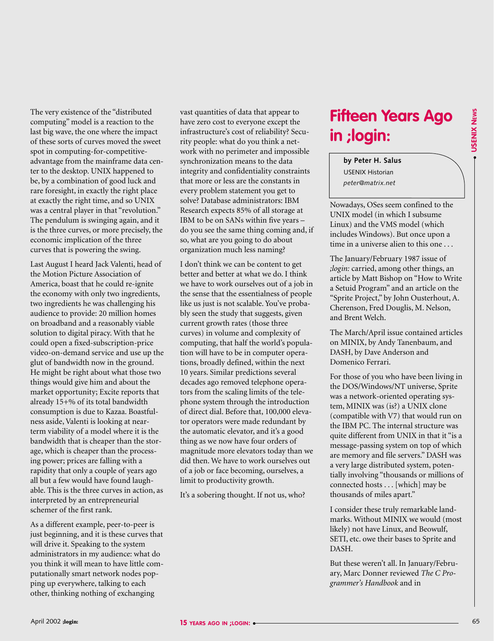The very existence of the "distributed computing" model is a reaction to the last big wave, the one where the impact of these sorts of curves moved the sweet spot in computing-for-competitiveadvantage from the mainframe data center to the desktop. UNIX happened to be, by a combination of good luck and rare foresight, in exactly the right place at exactly the right time, and so UNIX was a central player in that "revolution." The pendulum is swinging again, and it is the three curves, or more precisely, the economic implication of the three

curves that is powering the swing.

**EXERCISE CONSERVATION CONSERVATION CONSERVATION CONSERVATION CONSERVATION CONSERVATION CONSERVATION CONSERVATION CONSERVATION CONSERVATION CONSERVATION CONSERVATION CONSERVATION CONSERVATION CONSERVATION CONSERVATION CON** Last August I heard Jack Valenti, head of the Motion Picture Association of America, boast that he could re-ignite the economy with only two ingredients, two ingredients he was challenging his audience to provide: 20 million homes on broadband and a reasonably viable solution to digital piracy. With that he could open a fixed-subscription-price video-on-demand service and use up the glut of bandwidth now in the ground. He might be right about what those two things would give him and about the market opportunity; Excite reports that already 15+% of its total bandwidth consumption is due to Kazaa. Boastfulness aside, Valenti is looking at nearterm viability of a model where it is the bandwidth that is cheaper than the storage, which is cheaper than the processing power; prices are falling with a rapidity that only a couple of years ago all but a few would have found laughable. This is the three curves in action, as interpreted by an entrepreneurial schemer of the first rank.

As a different example, peer-to-peer is just beginning, and it is these curves that will drive it. Speaking to the system administrators in my audience: what do you think it will mean to have little computationally smart network nodes popping up everywhere, talking to each other, thinking nothing of exchanging

vast quantities of data that appear to have zero cost to everyone except the infrastructure's cost of reliability? Security people: what do you think a network with no perimeter and impossible synchronization means to the data integrity and confidentiality constraints that more or less are the constants in every problem statement you get to solve? Database administrators: IBM Research expects 85% of all storage at IBM to be on SANs within five years – do you see the same thing coming and, if so, what are you going to do about organization much less naming?

I don't think we can be content to get better and better at what we do. I think we have to work ourselves out of a job in the sense that the essentialness of people like us just is not scalable. You've probably seen the study that suggests, given current growth rates (those three curves) in volume and complexity of computing, that half the world's population will have to be in computer operations, broadly defined, within the next 10 years. Similar predictions several decades ago removed telephone operators from the scaling limits of the telephone system through the introduction of direct dial. Before that, 100,000 elevator operators were made redundant by the automatic elevator, and it's a good thing as we now have four orders of magnitude more elevators today than we did then. We have to work ourselves out of a job or face becoming, ourselves, a limit to productivity growth.

It's a sobering thought. If not us, who?

## **Fifteen Years Ago in ;login:**

**by Peter H. Salus** USENIX Historian *peter@matrix.net*

Nowadays, OSes seem confined to the UNIX model (in which I subsume Linux) and the VMS model (which includes Windows). But once upon a time in a universe alien to this one . . .

The January/February 1987 issue of *;login:* carried, among other things, an article by Matt Bishop on "How to Write a Setuid Program" and an article on the "Sprite Project," by John Ousterhout, A. Cherenson, Fred Douglis, M. Nelson, and Brent Welch.

The March/April issue contained articles on MINIX, by Andy Tanenbaum, and DASH, by Dave Anderson and Domenico Ferrari.

For those of you who have been living in the DOS/Windows/NT universe, Sprite was a network-oriented operating system, MINIX was (is?) a UNIX clone (compatible with V7) that would run on the IBM PC. The internal structure was quite different from UNIX in that it "is a message-passing system on top of which are memory and file servers." DASH was a very large distributed system, potentially involving "thousands or millions of connected hosts . . . [which] may be thousands of miles apart."

I consider these truly remarkable landmarks. Without MINIX we would (most likely) not have Linux, and Beowulf, SETI, etc. owe their bases to Sprite and DASH.

But these weren't all. In January/February, Marc Donner reviewed *The C Programmer's Handbook* and in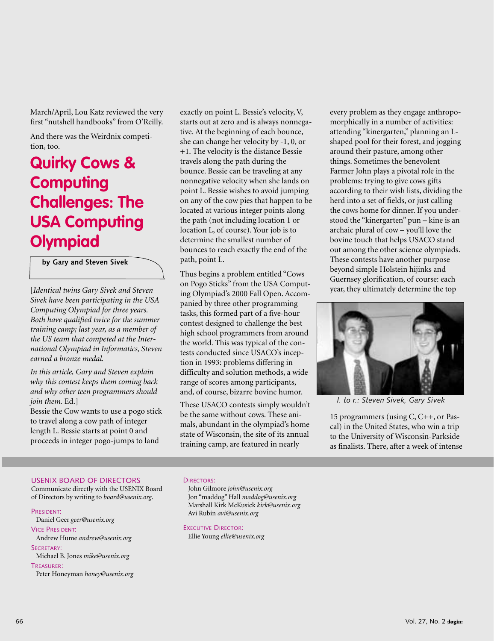March/April, Lou Katz reviewed the very first "nutshell handbooks" from O'Reilly.

And there was the Weirdnix competition, too.

### **Quirky Cows & Computing Challenges: The USA Computing Olympiad**

**by Gary and Steven Sivek**

[*Identical twins Gary Sivek and Steven Sivek have been participating in the USA Computing Olympiad for three years. Both have qualified twice for the summer training camp; last year, as a member of the US team that competed at the International Olympiad in Informatics, Steven earned a bronze medal.*

*In this article, Gary and Steven explain why this contest keeps them coming back and why other teen programmers should join them.* Ed.]

Bessie the Cow wants to use a pogo stick to travel along a cow path of integer length L. Bessie starts at point 0 and proceeds in integer pogo-jumps to land

exactly on point L. Bessie's velocity, V, starts out at zero and is always nonnegative. At the beginning of each bounce, she can change her velocity by -1, 0, or +1. The velocity is the distance Bessie travels along the path during the bounce. Bessie can be traveling at any nonnegative velocity when she lands on point L. Bessie wishes to avoid jumping on any of the cow pies that happen to be located at various integer points along the path (not including location 1 or location L, of course). Your job is to determine the smallest number of bounces to reach exactly the end of the path, point L.

Thus begins a problem entitled "Cows on Pogo Sticks" from the USA Computing Olympiad's 2000 Fall Open. Accompanied by three other programming tasks, this formed part of a five-hour contest designed to challenge the best high school programmers from around the world. This was typical of the contests conducted since USACO's inception in 1993: problems differing in difficulty and solution methods, a wide range of scores among participants, and, of course, bizarre bovine humor.

These USACO contests simply wouldn't be the same without cows. These animals, abundant in the olympiad's home state of Wisconsin, the site of its annual training camp, are featured in nearly

every problem as they engage anthropomorphically in a number of activities: attending "kinergarten," planning an Lshaped pool for their forest, and jogging around their pasture, among other things. Sometimes the benevolent Farmer John plays a pivotal role in the problems: trying to give cows gifts according to their wish lists, dividing the herd into a set of fields, or just calling the cows home for dinner. If you understood the "kinergarten" pun – kine is an archaic plural of cow – you'll love the bovine touch that helps USACO stand out among the other science olympiads. These contests have another purpose beyond simple Holstein hijinks and Guernsey glorification, of course: each year, they ultimately determine the top



*l. to r.: Steven Sivek, Gary Sivek*

15 programmers (using C, C++, or Pascal) in the United States, who win a trip to the University of Wisconsin-Parkside as finalists. There, after a week of intense

#### USENIX BOARD OF DIRECTORS

Communicate directly with the USENIX Board of Directors by writing to *board@usenix.org*.

#### PRESIDENT:

Daniel Geer *geer@usenix.org*

VICE PRESIDENT: Andrew Hume *andrew@usenix.org*

SECRETARY:

Michael B. Jones *mike@usenix.org*

#### TREASURER:

Peter Honeyman *honey@usenix.org*

#### DIRECTORS:

John Gilmore *john@usenix.org* Jon "maddog" Hall *maddog@usenix.org* Marshall Kirk McKusick *kirk@usenix.org* Avi Rubin *avi@usenix.org*

EXECUTIVE DIRECTOR:

Ellie Young *ellie@usenix.org*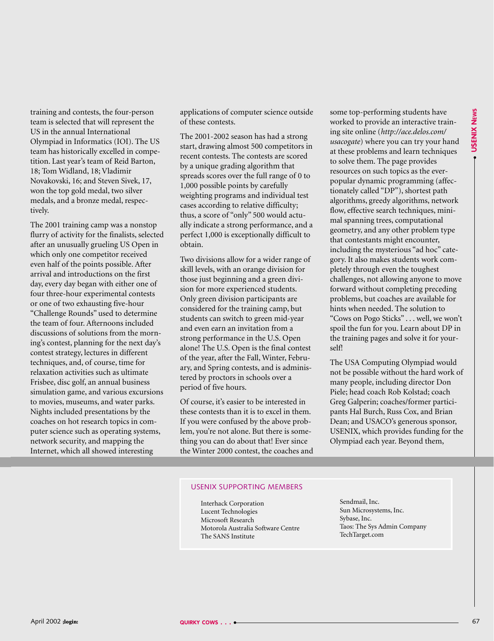training and contests, the four-person team is selected that will represent the US in the annual International Olympiad in Informatics (IOI). The US team has historically excelled in competition. Last year's team of Reid Barton, 18; Tom Widland, 18; Vladimir Novakovski, 16; and Steven Sivek, 17, won the top gold medal, two silver medals, and a bronze medal, respectively.

The 2001 training camp was a nonstop flurry of activity for the finalists, selected after an unusually grueling US Open in which only one competitor received even half of the points possible. After arrival and introductions on the first day, every day began with either one of four three-hour experimental contests or one of two exhausting five-hour "Challenge Rounds" used to determine the team of four. Afternoons included discussions of solutions from the morning's contest, planning for the next day's contest strategy, lectures in different techniques, and, of course, time for relaxation activities such as ultimate Frisbee, disc golf, an annual business simulation game, and various excursions to movies, museums, and water parks. Nights included presentations by the coaches on hot research topics in computer science such as operating systems, network security, and mapping the Internet, which all showed interesting

applications of computer science outside of these contests.

The 2001-2002 season has had a strong start, drawing almost 500 competitors in recent contests. The contests are scored by a unique grading algorithm that spreads scores over the full range of 0 to 1,000 possible points by carefully weighting programs and individual test cases according to relative difficulty; thus, a score of "only" 500 would actually indicate a strong performance, and a perfect 1,000 is exceptionally difficult to obtain.

Two divisions allow for a wider range of skill levels, with an orange division for those just beginning and a green division for more experienced students. Only green division participants are considered for the training camp, but students can switch to green mid-year and even earn an invitation from a strong performance in the U.S. Open alone! The U.S. Open is the final contest of the year, after the Fall, Winter, February, and Spring contests, and is administered by proctors in schools over a period of five hours.

Of course, it's easier to be interested in these contests than it is to excel in them. If you were confused by the above problem, you're not alone. But there is something you can do about that! Ever since the Winter 2000 contest, the coaches and

The interaction of the proper source of the same of the same of the same of the same of the same of the same of the same of the same of the same of the same of the same of the same of the same of the same of the same of th some top-performing students have worked to provide an interactive training site online (*<http://ace.delos.com/> usacogate*) where you can try your hand at these problems and learn techniques to solve them. The page provides resources on such topics as the everpopular dynamic programming (affectionately called "DP"), shortest path algorithms, greedy algorithms, network flow, effective search techniques, minimal spanning trees, computational geometry, and any other problem type that contestants might encounter, including the mysterious "ad hoc" category. It also makes students work completely through even the toughest challenges, not allowing anyone to move forward without completing preceding problems, but coaches are available for hints when needed. The solution to "Cows on Pogo Sticks" . . . well, we won't spoil the fun for you. Learn about DP in the training pages and solve it for yourself!

The USA Computing Olympiad would not be possible without the hard work of many people, including director Don Piele; head coach Rob Kolstad; coach Greg Galperin; coaches/former participants Hal Burch, Russ Cox, and Brian Dean; and USACO's generous sponsor, USENIX, which provides funding for the Olympiad each year. Beyond them,

#### USENIX SUPPORTING MEMBERS

Interhack Corporation Lucent Technologies Microsoft Research Motorola Australia Software Centre The SANS Institute

Sendmail, Inc. Sun Microsystems, Inc. Sybase, Inc. Taos: The Sys Admin Company TechTarget.com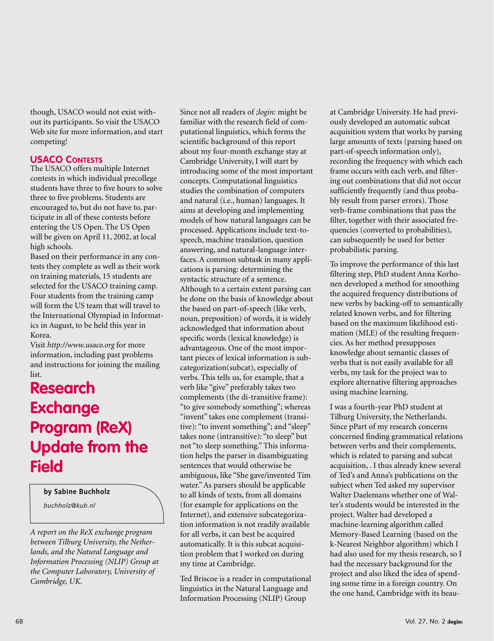though, USACO would not exist without its participants. So visit the USACO Web site for more information, and start competing!

#### **USACO CONTESTS**

The USACO offers multiple Internet contests in which individual precollege students have three to five hours to solve three to five problems. Students are encouraged to, but do not have to, participate in all of these contests before entering the US Open. The US Open will be given on April 11, 2002, at local high schools.

Based on their performance in any contests they complete as well as their work on training materials, 15 students are selected for the USACO training camp. Four students from the training camp will form the US team that will travel to the International Olympiad in Informatics in August, to be held this year in Korea.

Visit *<http://www.usaco.org>* for more information, including past problems and instructions for joining the mailing list.

### **Research Exchange Program (ReX) Update from the Field**

**by Sabine Buchholz**

*buchholz@kub.nl*

*A report on the ReX exchange program between Tilburg University, the Netherlands, and the Natural Language and Information Processing (NLIP) Group at the Computer Laboratory, University of Cambridge, UK*.

Since not all readers of *;login:* might be familiar with the research field of computational linguistics, which forms the scientific background of this report about my four-month exchange stay at Cambridge University, I will start by introducing some of the most important concepts. Computational linguistics studies the combination of computers and natural (i.e., human) languages. It aims at developing and implementing models of how natural languages can be processed. Applications include text-tospeech, machine translation, question answering, and natural-language interfaces. A common subtask in many applications is parsing: determining the syntactic structure of a sentence. Although to a certain extent parsing can be done on the basis of knowledge about the based on part-of-speech (like verb, noun, preposition) of words, it is widely acknowledged that information about specific words (lexical knowledge) is advantageous. One of the most important pieces of lexical information is subcategorization(subcat), especially of verbs. This tells us, for example, that a verb like "give" preferably takes two complements (the di-transitive frame): "to give somebody something"; whereas "invent" takes one complement (transitive): "to invent something"; and "sleep" takes none (intransitive): "to sleep" but not "to sleep something." This information helps the parser in disambiguating sentences that would otherwise be ambiguous, like "She gave/invented Tim water." As parsers should be applicable to all kinds of texts, from all domains (for example for applications on the Internet), and extensive subcategorization information is not readily available for all verbs, it can best be acquired automatically. It is this subcat acquisition problem that I worked on during my time at Cambridge.

Ted Briscoe is a reader in computational linguistics in the Natural Language and Information Processing (NLIP) Group

at Cambridge University. He had previously developed an automatic subcat acquisition system that works by parsing large amounts of texts (parsing based on part-of-speech information only), recording the frequency with which each frame occurs with each verb, and filtering out combinations that did not occur sufficiently frequently (and thus probably result from parser errors). Those verb-frame combinations that pass the filter, together with their associated frequencies (converted to probabilities), can subsequently be used for better probabilistic parsing.

To improve the performance of this last filtering step, PhD student Anna Korhonen developed a method for smoothing the acquired frequency distributions of new verbs by backing-off to semantically related known verbs, and for filtering based on the maximum likelihood estimation (MLE) of the resulting frequencies. As her method presupposes knowledge about semantic classes of verbs that is not easily available for all verbs, my task for the project was to explore alternative filtering approaches using machine learning.

I was a fourth-year PhD student at Tilburg University, the Netherlands. Since pPart of my research concerns concerned finding grammatical relations between verbs and their complements, which is related to parsing and subcat acquisition, . I thus already knew several of Ted's and Anna's publications on the subject when Ted asked my supervisor Walter Daelemans whether one of Walter's students would be interested in the project. Walter had developed a machine-learning algorithm called Memory-Based Learning (based on the k-Nearest Neighbor algorithm) which I had also used for my thesis research, so I had the necessary background for the project and also liked the idea of spending some time in a foreign country. On the one hand, Cambridge with its beau-